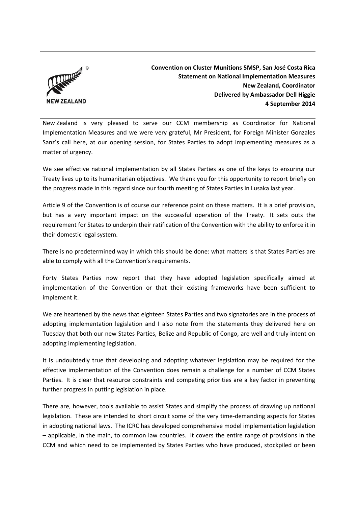

**Convention on Cluster Munitions 5MSP, San José Costa Rica Statement on National Implementation Measures New Zealand, Coordinator Delivered by Ambassador Dell Higgie 4 September 2014**

New Zealand is very pleased to serve our CCM membership as Coordinator for National Implementation Measures and we were very grateful, Mr President, for Foreign Minister Gonzales Sanz's call here, at our opening session, for States Parties to adopt implementing measures as a matter of urgency.

We see effective national implementation by all States Parties as one of the keys to ensuring our Treaty lives up to its humanitarian objectives. We thank you for this opportunity to report briefly on the progress made in this regard since our fourth meeting of States Parties in Lusaka last year.

Article 9 of the Convention is of course our reference point on these matters. It is a brief provision, but has a very important impact on the successful operation of the Treaty. It sets outs the requirement for States to underpin their ratification of the Convention with the ability to enforce it in their domestic legal system.

There is no predetermined way in which this should be done: what matters is that States Parties are able to comply with all the Convention's requirements.

Forty States Parties now report that they have adopted legislation specifically aimed at implementation of the Convention or that their existing frameworks have been sufficient to implement it.

We are heartened by the news that eighteen States Parties and two signatories are in the process of adopting implementation legislation and I also note from the statements they delivered here on Tuesday that both our new States Parties, Belize and Republic of Congo, are well and truly intent on adopting implementing legislation.

It is undoubtedly true that developing and adopting whatever legislation may be required for the effective implementation of the Convention does remain a challenge for a number of CCM States Parties. It is clear that resource constraints and competing priorities are a key factor in preventing further progress in putting legislation in place.

There are, however, tools available to assist States and simplify the process of drawing up national legislation. These are intended to short circuit some of the very time-demanding aspects for States in adopting national laws. The ICRC has developed comprehensive model implementation legislation – applicable, in the main, to common law countries. It covers the entire range of provisions in the CCM and which need to be implemented by States Parties who have produced, stockpiled or been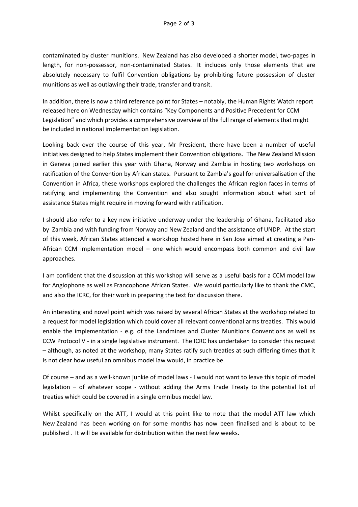contaminated by cluster munitions. New Zealand has also developed a shorter model, two-pages in length, for non-possessor, non-contaminated States. It includes only those elements that are absolutely necessary to fulfil Convention obligations by prohibiting future possession of cluster munitions as well as outlawing their trade, transfer and transit.

In addition, there is now a third reference point for States – notably, the Human Rights Watch report released here on Wednesday which contains "Key Components and Positive Precedent for CCM Legislation" and which provides a comprehensive overview of the full range of elements that might be included in national implementation legislation.

Looking back over the course of this year, Mr President, there have been a number of useful initiatives designed to help States implement their Convention obligations. The New Zealand Mission in Geneva joined earlier this year with Ghana, Norway and Zambia in hosting two workshops on ratification of the Convention by African states. Pursuant to Zambia's goal for universalisation of the Convention in Africa, these workshops explored the challenges the African region faces in terms of ratifying and implementing the Convention and also sought information about what sort of assistance States might require in moving forward with ratification.

I should also refer to a key new initiative underway under the leadership of Ghana, facilitated also by Zambia and with funding from Norway and New Zealand and the assistance of UNDP. At the start of this week, African States attended a workshop hosted here in San Jose aimed at creating a Pan-African CCM implementation model – one which would encompass both common and civil law approaches.

I am confident that the discussion at this workshop will serve as a useful basis for a CCM model law for Anglophone as well as Francophone African States. We would particularly like to thank the CMC, and also the ICRC, for their work in preparing the text for discussion there.

An interesting and novel point which was raised by several African States at the workshop related to a request for model legislation which could cover all relevant conventional arms treaties. This would enable the implementation - e.g. of the Landmines and Cluster Munitions Conventions as well as CCW Protocol V - in a single legislative instrument. The ICRC has undertaken to consider this request – although, as noted at the workshop, many States ratify such treaties at such differing times that it is not clear how useful an omnibus model law would, in practice be.

Of course – and as a well-known junkie of model laws - I would not want to leave this topic of model legislation – of whatever scope - without adding the Arms Trade Treaty to the potential list of treaties which could be covered in a single omnibus model law.

Whilst specifically on the ATT, I would at this point like to note that the model ATT law which New Zealand has been working on for some months has now been finalised and is about to be published . It will be available for distribution within the next few weeks.